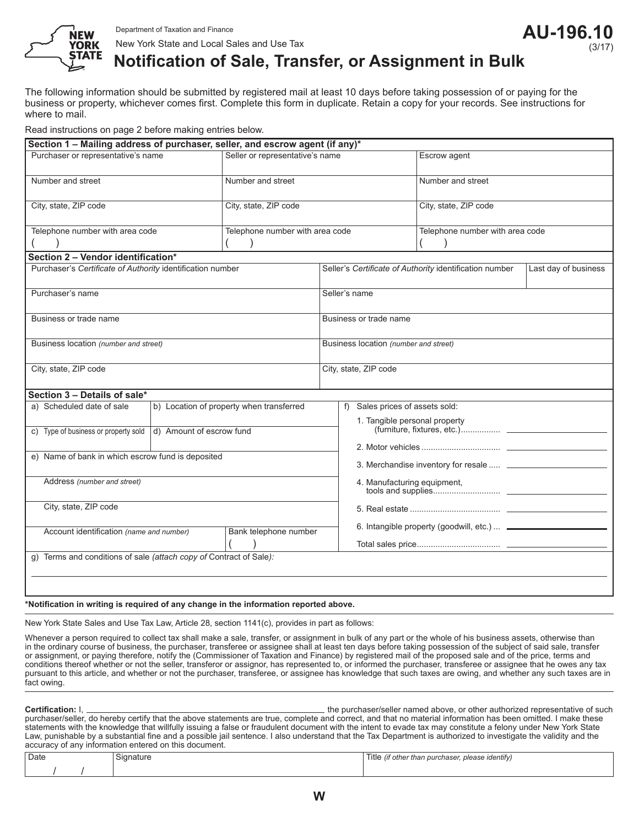

# **Notification of Sale, Transfer, or Assignment in Bulk**

The following information should be submitted by registered mail at least 10 days before taking possession of or paying for the business or property, whichever comes first. Complete this form in duplicate. Retain a copy for your records. See instructions for where to mail.

Read instructions on page 2 before making entries below.

| Section 1 - Mailing address of purchaser, seller, and escrow agent (if any)* |                                          |                                 |  |                                                                                 |  |  |
|------------------------------------------------------------------------------|------------------------------------------|---------------------------------|--|---------------------------------------------------------------------------------|--|--|
| Purchaser or representative's name                                           |                                          | Seller or representative's name |  | Escrow agent                                                                    |  |  |
| Number and street                                                            |                                          | Number and street               |  | Number and street                                                               |  |  |
| City, state, ZIP code                                                        |                                          | City, state, ZIP code           |  | City, state, ZIP code                                                           |  |  |
| Telephone number with area code                                              |                                          | Telephone number with area code |  | Telephone number with area code                                                 |  |  |
| Section 2 - Vendor identification*                                           |                                          |                                 |  |                                                                                 |  |  |
| Purchaser's Certificate of Authority identification number                   |                                          |                                 |  | Seller's Certificate of Authority identification number<br>Last day of business |  |  |
| Purchaser's name                                                             |                                          |                                 |  | Seller's name                                                                   |  |  |
| Business or trade name                                                       |                                          |                                 |  | Business or trade name                                                          |  |  |
| Business location (number and street)                                        |                                          |                                 |  | Business location (number and street)                                           |  |  |
| City, state, ZIP code                                                        |                                          |                                 |  | City, state, ZIP code                                                           |  |  |
| Section 3 - Details of sale*                                                 |                                          |                                 |  |                                                                                 |  |  |
| a) Scheduled date of sale                                                    | b) Location of property when transferred |                                 |  | f) Sales prices of assets sold:<br>1. Tangible personal property                |  |  |
|                                                                              |                                          |                                 |  |                                                                                 |  |  |
| d) Amount of escrow fund<br>c) Type of business or property sold             |                                          |                                 |  |                                                                                 |  |  |
|                                                                              |                                          |                                 |  |                                                                                 |  |  |
| e) Name of bank in which escrow fund is deposited                            |                                          |                                 |  |                                                                                 |  |  |
| Address (number and street)                                                  |                                          |                                 |  |                                                                                 |  |  |
| City, state, ZIP code                                                        |                                          |                                 |  |                                                                                 |  |  |
| Account identification (name and number)<br>Bank telephone number            |                                          |                                 |  | 6. Intangible property (goodwill, etc.)                                         |  |  |
|                                                                              |                                          |                                 |  |                                                                                 |  |  |
| g) Terms and conditions of sale (attach copy of Contract of Sale):           |                                          |                                 |  |                                                                                 |  |  |
|                                                                              |                                          |                                 |  |                                                                                 |  |  |
|                                                                              |                                          |                                 |  |                                                                                 |  |  |

#### **\*Notification in writing is required of any change in the information reported above.**

New York State Sales and Use Tax Law, Article 28, section 1141(c), provides in part as follows:

Whenever a person required to collect tax shall make a sale, transfer, or assignment in bulk of any part or the whole of his business assets, otherwise than in the ordinary course of business, the purchaser, transferee or assignee shall at least ten days before taking possession of the subject of said sale, transfer or assignment, or paying therefore, notify the (Commissioner of Taxation and Finance) by registered mail of the proposed sale and of the price, terms and conditions thereof whether or not the seller, transferor or assignor, has represented to, or informed the purchaser, transferee or assignee that he owes any tax pursuant to this article, and whether or not the purchaser, transferee, or assignee has knowledge that such taxes are owing, and whether any such taxes are in fact owing.

| Certification: I.<br>the purchaser/seller named above, or other authorized representative of such<br>purchaser/seller, do hereby certify that the above statements are true, complete and correct, and that no material information has been omitted. I make these<br>statements with the knowledge that willfully issuing a false or fraudulent document with the intent to evade tax may constitute a felony under New York State<br>Law, punishable by a substantial fine and a possible jail sentence. I also understand that the Tax Department is authorized to investigate the validity and the<br>accuracy of any information entered on this document. |           |                                                  |  |  |  |  |
|-----------------------------------------------------------------------------------------------------------------------------------------------------------------------------------------------------------------------------------------------------------------------------------------------------------------------------------------------------------------------------------------------------------------------------------------------------------------------------------------------------------------------------------------------------------------------------------------------------------------------------------------------------------------|-----------|--------------------------------------------------|--|--|--|--|
| Date                                                                                                                                                                                                                                                                                                                                                                                                                                                                                                                                                                                                                                                            | Signature | Title (if other than purchaser, please identify) |  |  |  |  |
|                                                                                                                                                                                                                                                                                                                                                                                                                                                                                                                                                                                                                                                                 |           |                                                  |  |  |  |  |